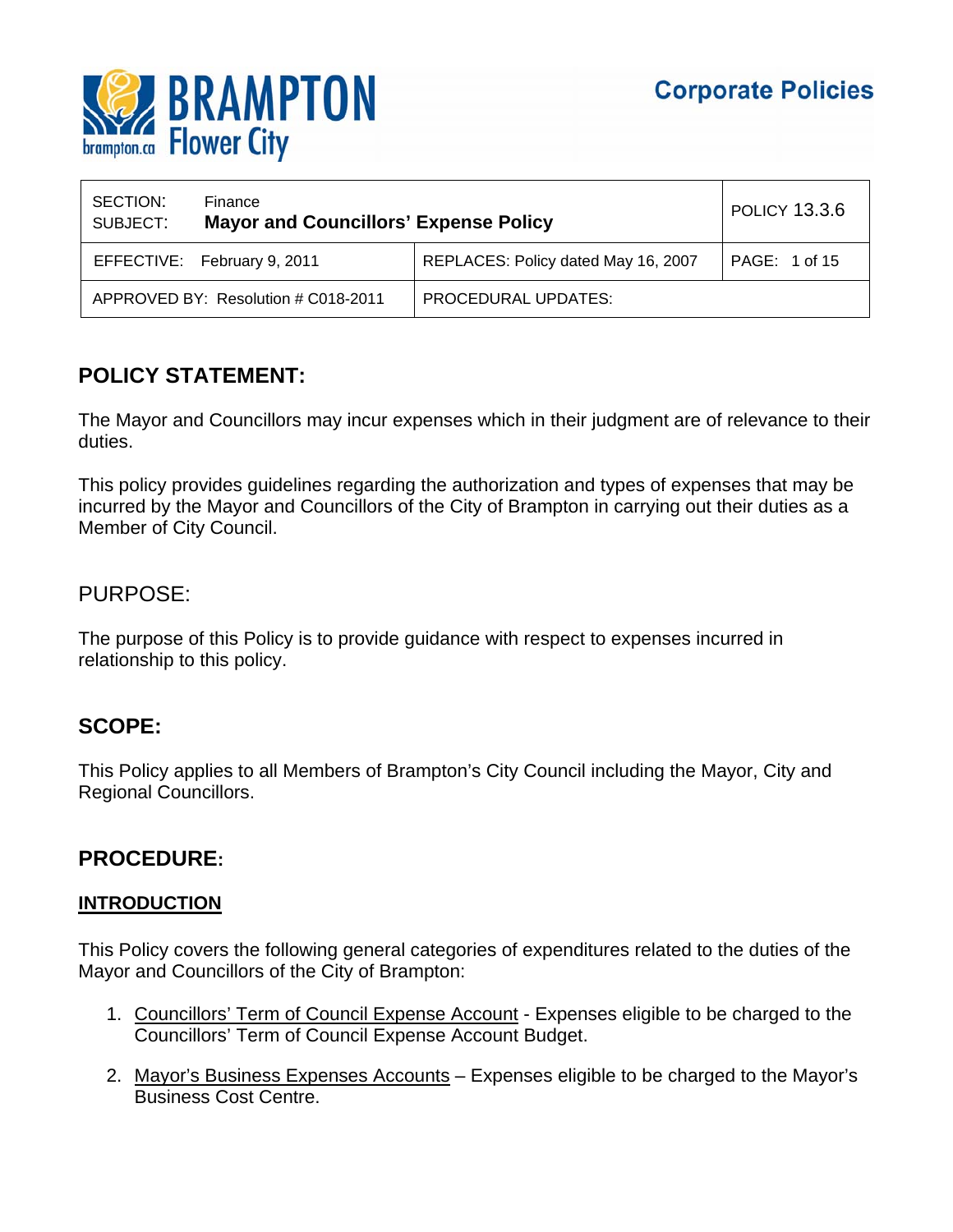

| SECTION:<br>SUBJECT: | Finance<br><b>Mayor and Councillors' Expense Policy</b> |                                     | POLICY 13.3.6 |
|----------------------|---------------------------------------------------------|-------------------------------------|---------------|
|                      | EFFECTIVE: February 9, 2011                             | REPLACES: Policy dated May 16, 2007 | PAGE: 1 of 15 |
|                      | APPROVED BY: Resolution # C018-2011                     | PROCEDURAL UPDATES:                 |               |

# **POLICY STATEMENT:**

The Mayor and Councillors may incur expenses which in their judgment are of relevance to their duties.

This policy provides guidelines regarding the authorization and types of expenses that may be incurred by the Mayor and Councillors of the City of Brampton in carrying out their duties as a Member of City Council.

## PURPOSE:

The purpose of this Policy is to provide guidance with respect to expenses incurred in relationship to this policy.

# **SCOPE:**

This Policy applies to all Members of Brampton's City Council including the Mayor, City and Regional Councillors.

## **PROCEDURE:**

## **INTRODUCTION**

This Policy covers the following general categories of expenditures related to the duties of the Mayor and Councillors of the City of Brampton:

- 1. Councillors' Term of Council Expense Account Expenses eligible to be charged to the Councillors' Term of Council Expense Account Budget.
- 2. Mayor's Business Expenses Accounts Expenses eligible to be charged to the Mayor's Business Cost Centre.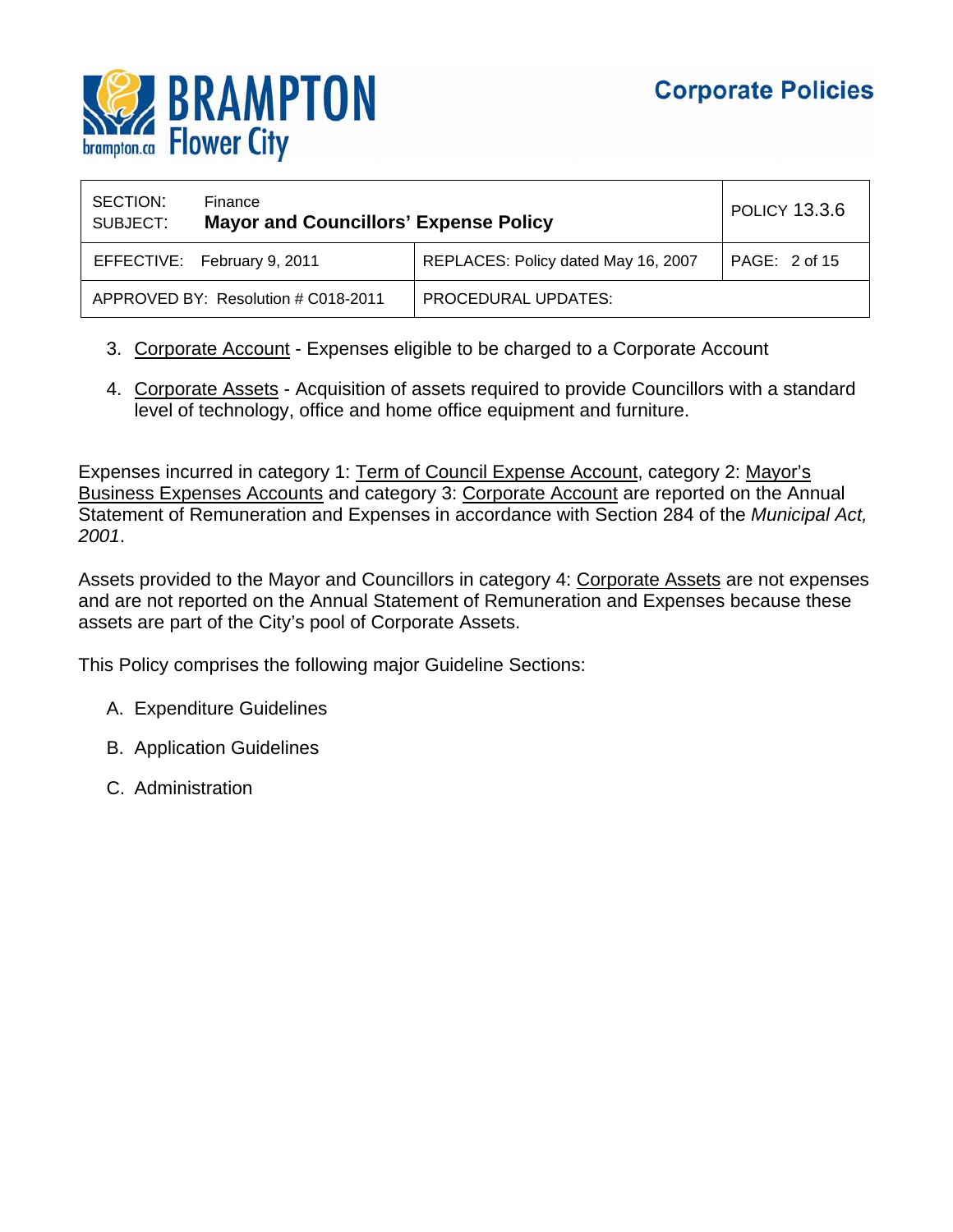

| SECTION:<br>SUBJECT: | Finance<br><b>Mayor and Councillors' Expense Policy</b> |                                     | <b>POLICY 13.3.6</b> |
|----------------------|---------------------------------------------------------|-------------------------------------|----------------------|
|                      | EFFECTIVE: February 9, 2011                             | REPLACES: Policy dated May 16, 2007 | PAGE: 2 of 15        |
|                      | APPROVED BY: Resolution # C018-2011                     | PROCEDURAL UPDATES:                 |                      |

- 3. Corporate Account Expenses eligible to be charged to a Corporate Account
- 4. Corporate Assets Acquisition of assets required to provide Councillors with a standard level of technology, office and home office equipment and furniture.

Expenses incurred in category 1: Term of Council Expense Account, category 2: Mayor's Business Expenses Accounts and category 3: Corporate Account are reported on the Annual Statement of Remuneration and Expenses in accordance with Section 284 of the *Municipal Act, 2001*.

Assets provided to the Mayor and Councillors in category 4: Corporate Assets are not expenses and are not reported on the Annual Statement of Remuneration and Expenses because these assets are part of the City's pool of Corporate Assets.

This Policy comprises the following major Guideline Sections:

- A. Expenditure Guidelines
- B. Application Guidelines
- C. Administration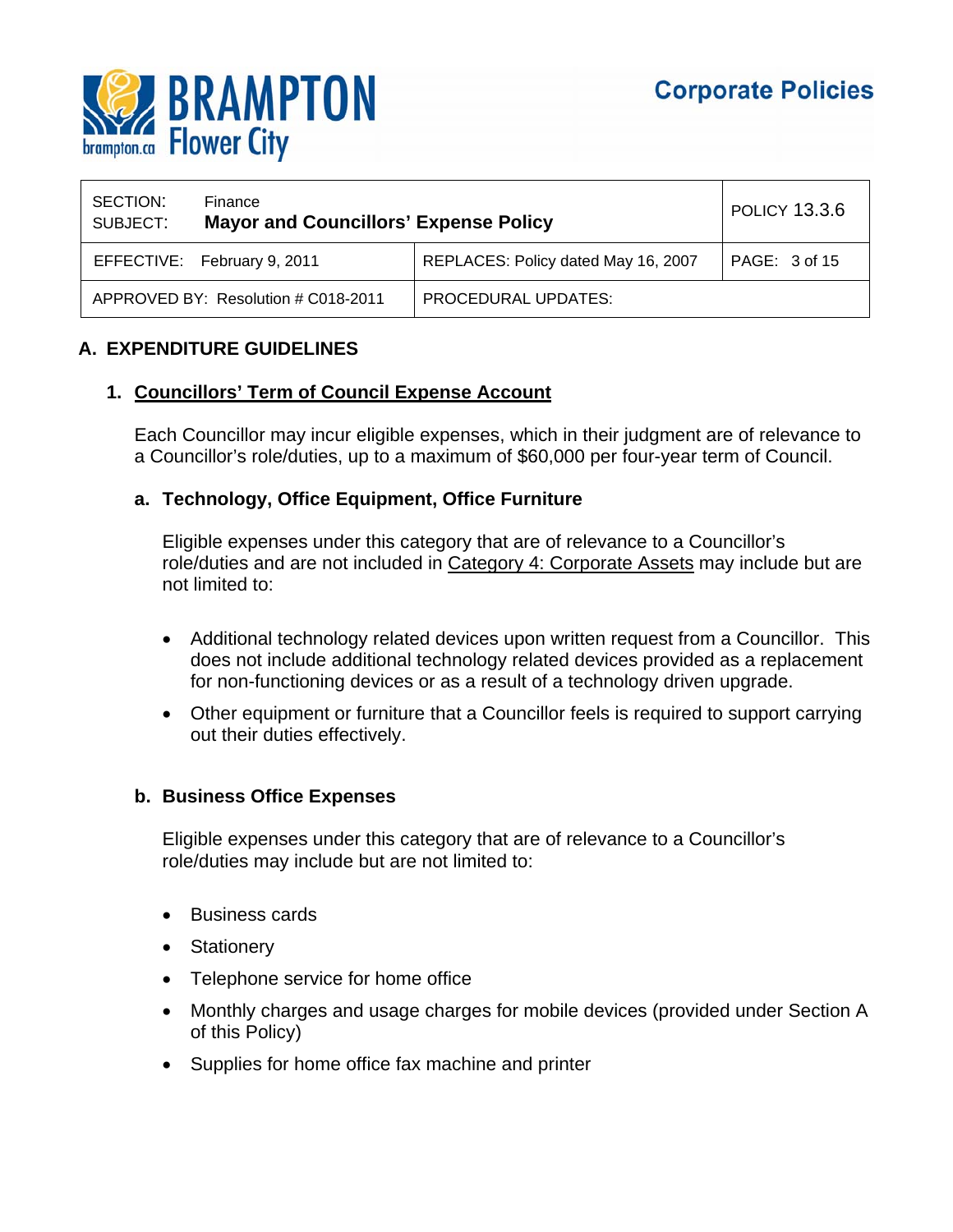

| SECTION:<br>SUBJECT: | Finance<br><b>Mayor and Councillors' Expense Policy</b> |                                     | <b>POLICY 13.3.6</b> |
|----------------------|---------------------------------------------------------|-------------------------------------|----------------------|
|                      | EFFECTIVE: February 9, 2011                             | REPLACES: Policy dated May 16, 2007 | PAGE: 3 of 15        |
|                      | APPROVED BY: Resolution # C018-2011                     | PROCEDURAL UPDATES:                 |                      |

## **A. EXPENDITURE GUIDELINES**

#### **1. Councillors' Term of Council Expense Account**

Each Councillor may incur eligible expenses, which in their judgment are of relevance to a Councillor's role/duties, up to a maximum of \$60,000 per four-year term of Council.

#### **a. Technology, Office Equipment, Office Furniture**

Eligible expenses under this category that are of relevance to a Councillor's role/duties and are not included in Category 4: Corporate Assets may include but are not limited to:

- Additional technology related devices upon written request from a Councillor. This does not include additional technology related devices provided as a replacement for non-functioning devices or as a result of a technology driven upgrade.
- Other equipment or furniture that a Councillor feels is required to support carrying out their duties effectively.

#### **b. Business Office Expenses**

Eligible expenses under this category that are of relevance to a Councillor's role/duties may include but are not limited to:

- Business cards
- Stationery
- Telephone service for home office
- Monthly charges and usage charges for mobile devices (provided under Section A of this Policy)
- Supplies for home office fax machine and printer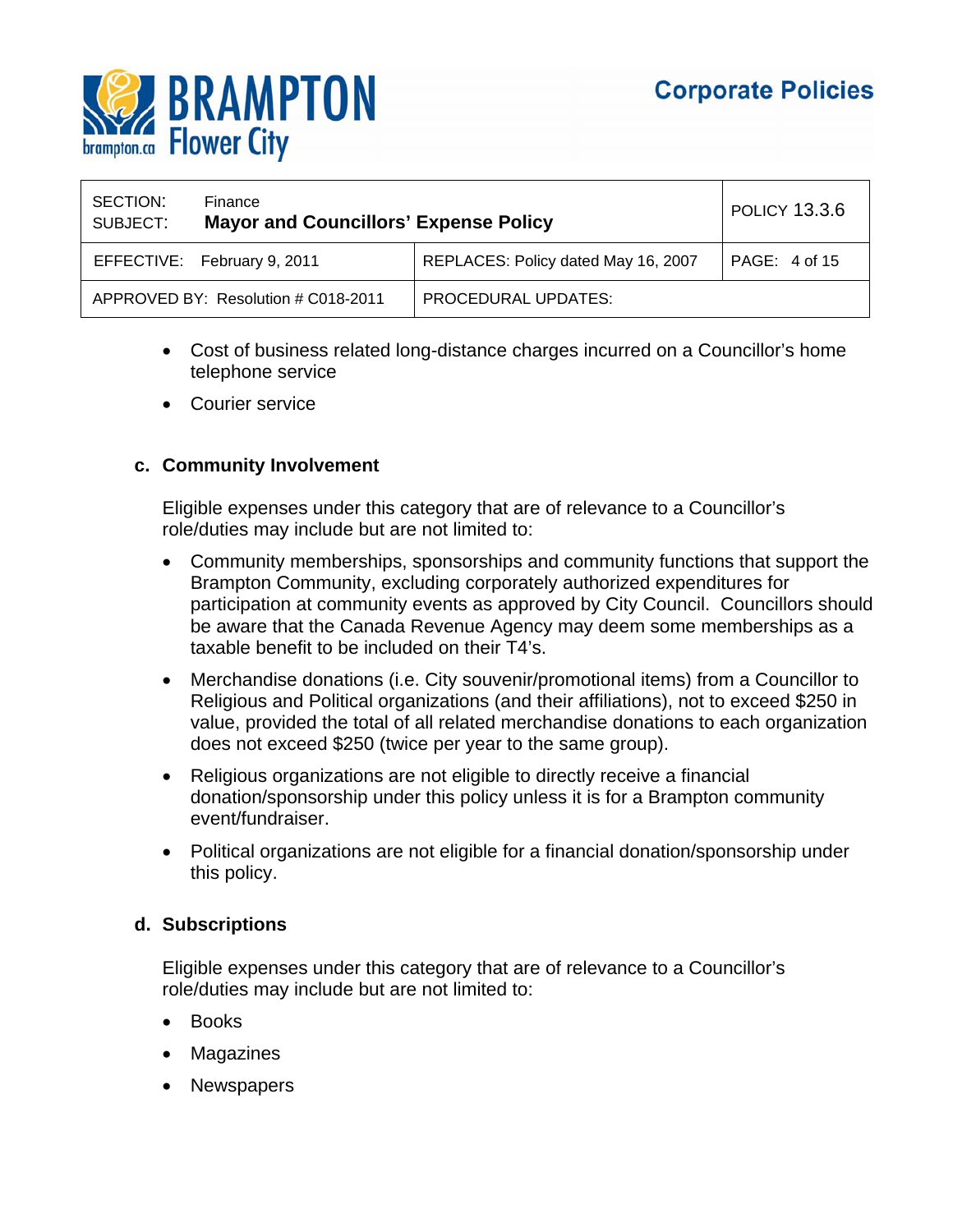

| SECTION:<br>SUBJECT: | Finance<br><b>Mayor and Councillors' Expense Policy</b> |                                     | POLICY 13.3.6 |
|----------------------|---------------------------------------------------------|-------------------------------------|---------------|
|                      | EFFECTIVE: February 9, 2011                             | REPLACES: Policy dated May 16, 2007 | PAGE: 4 of 15 |
|                      | APPROVED BY: Resolution # C018-2011                     | PROCEDURAL UPDATES:                 |               |

- Cost of business related long-distance charges incurred on a Councillor's home telephone service
- Courier service

#### **c. Community Involvement**

Eligible expenses under this category that are of relevance to a Councillor's role/duties may include but are not limited to:

- Community memberships, sponsorships and community functions that support the Brampton Community, excluding corporately authorized expenditures for participation at community events as approved by City Council. Councillors should be aware that the Canada Revenue Agency may deem some memberships as a taxable benefit to be included on their T4's.
- Merchandise donations (i.e. City souvenir/promotional items) from a Councillor to Religious and Political organizations (and their affiliations), not to exceed \$250 in value, provided the total of all related merchandise donations to each organization does not exceed \$250 (twice per year to the same group).
- Religious organizations are not eligible to directly receive a financial donation/sponsorship under this policy unless it is for a Brampton community event/fundraiser.
- Political organizations are not eligible for a financial donation/sponsorship under this policy.

#### **d. Subscriptions**

Eligible expenses under this category that are of relevance to a Councillor's role/duties may include but are not limited to:

- Books
- Magazines
- **Newspapers**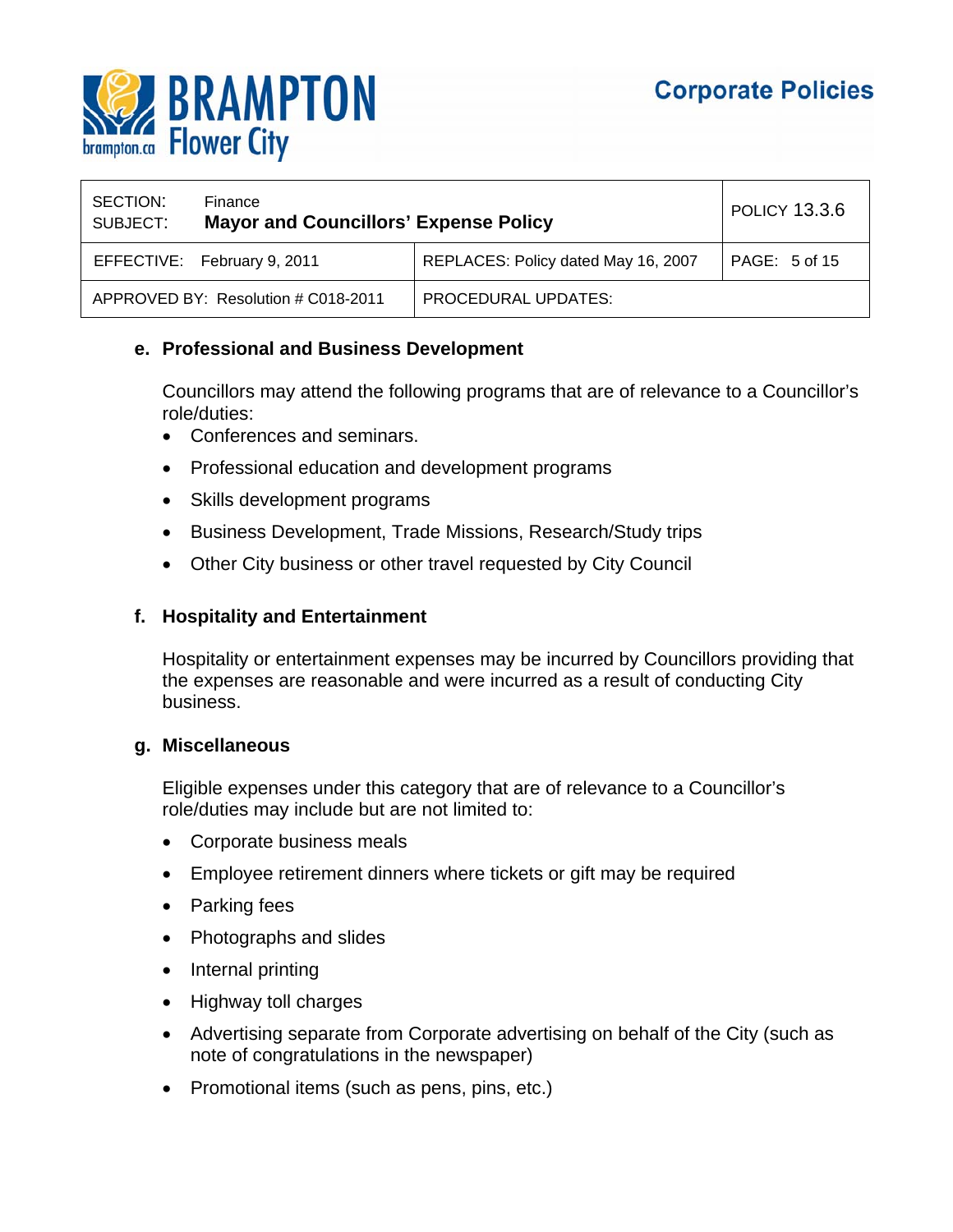

| SECTION:<br>SUBJECT: | Finance<br><b>Mayor and Councillors' Expense Policy</b> |                                     | <b>POLICY 13.3.6</b> |
|----------------------|---------------------------------------------------------|-------------------------------------|----------------------|
|                      | EFFECTIVE: February 9, 2011                             | REPLACES: Policy dated May 16, 2007 | PAGE: 5 of 15        |
|                      | APPROVED BY: Resolution # C018-2011                     | <b>PROCEDURAL UPDATES:</b>          |                      |

## **e. Professional and Business Development**

Councillors may attend the following programs that are of relevance to a Councillor's role/duties:

- Conferences and seminars.
- Professional education and development programs
- Skills development programs
- Business Development, Trade Missions, Research/Study trips
- Other City business or other travel requested by City Council

#### **f. Hospitality and Entertainment**

Hospitality or entertainment expenses may be incurred by Councillors providing that the expenses are reasonable and were incurred as a result of conducting City business.

#### **g. Miscellaneous**

Eligible expenses under this category that are of relevance to a Councillor's role/duties may include but are not limited to:

- Corporate business meals
- Employee retirement dinners where tickets or gift may be required
- Parking fees
- Photographs and slides
- Internal printing
- Highway toll charges
- Advertising separate from Corporate advertising on behalf of the City (such as note of congratulations in the newspaper)
- Promotional items (such as pens, pins, etc.)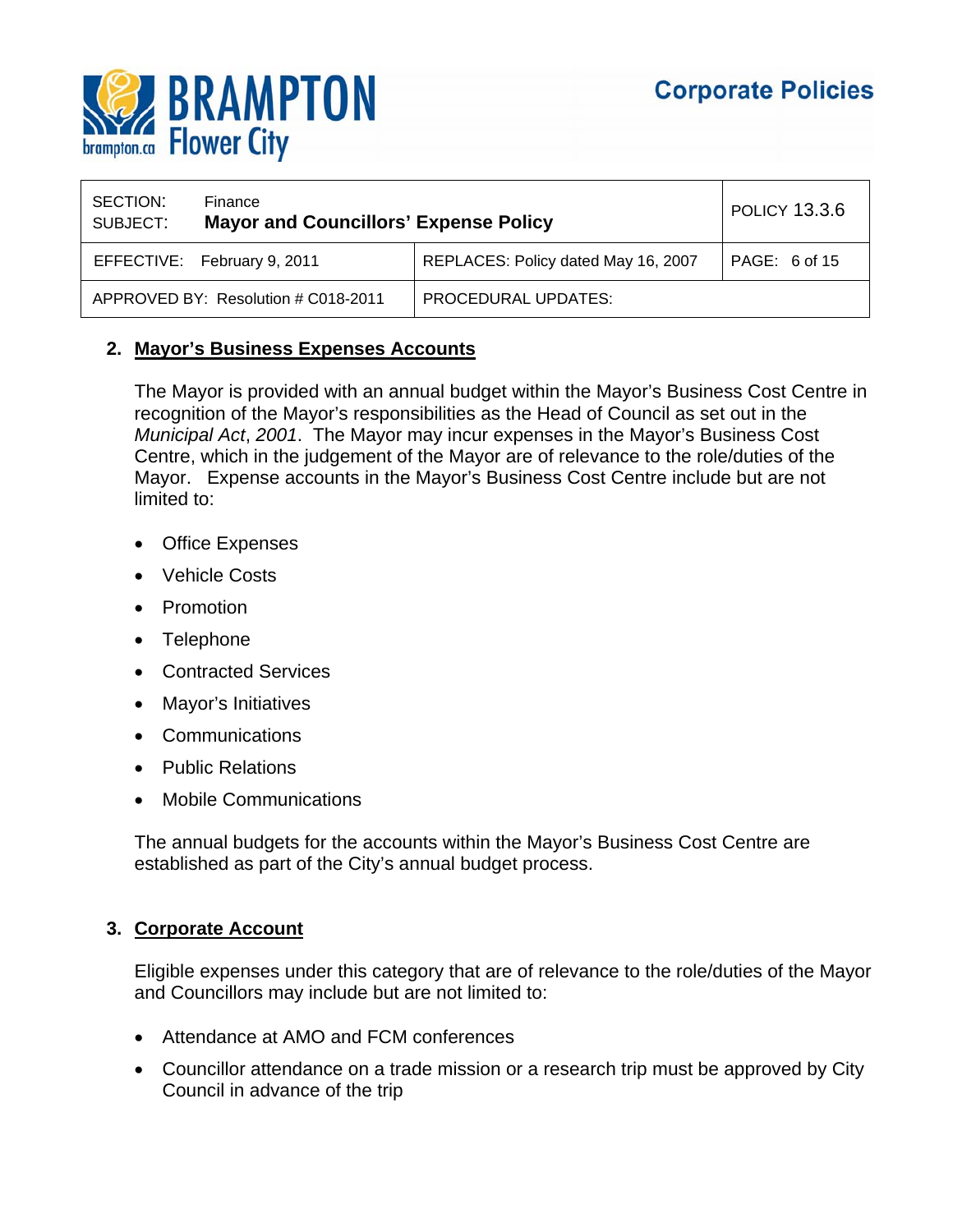

| SECTION:<br>SUBJECT: | Finance<br><b>Mayor and Councillors' Expense Policy</b> |                                     | <b>POLICY 13.3.6</b> |
|----------------------|---------------------------------------------------------|-------------------------------------|----------------------|
|                      | EFFECTIVE: February 9, 2011                             | REPLACES: Policy dated May 16, 2007 | PAGE: 6 of 15        |
|                      | APPROVED BY: Resolution # C018-2011                     | PROCEDURAL UPDATES:                 |                      |

## **2. Mayor's Business Expenses Accounts**

The Mayor is provided with an annual budget within the Mayor's Business Cost Centre in recognition of the Mayor's responsibilities as the Head of Council as set out in the *Municipal Act*, *2001*. The Mayor may incur expenses in the Mayor's Business Cost Centre, which in the judgement of the Mayor are of relevance to the role/duties of the Mayor. Expense accounts in the Mayor's Business Cost Centre include but are not limited to:

- Office Expenses
- Vehicle Costs
- Promotion
- Telephone
- Contracted Services
- Mayor's Initiatives
- Communications
- Public Relations
- Mobile Communications

The annual budgets for the accounts within the Mayor's Business Cost Centre are established as part of the City's annual budget process.

## **3. Corporate Account**

Eligible expenses under this category that are of relevance to the role/duties of the Mayor and Councillors may include but are not limited to:

- Attendance at AMO and FCM conferences
- Councillor attendance on a trade mission or a research trip must be approved by City Council in advance of the trip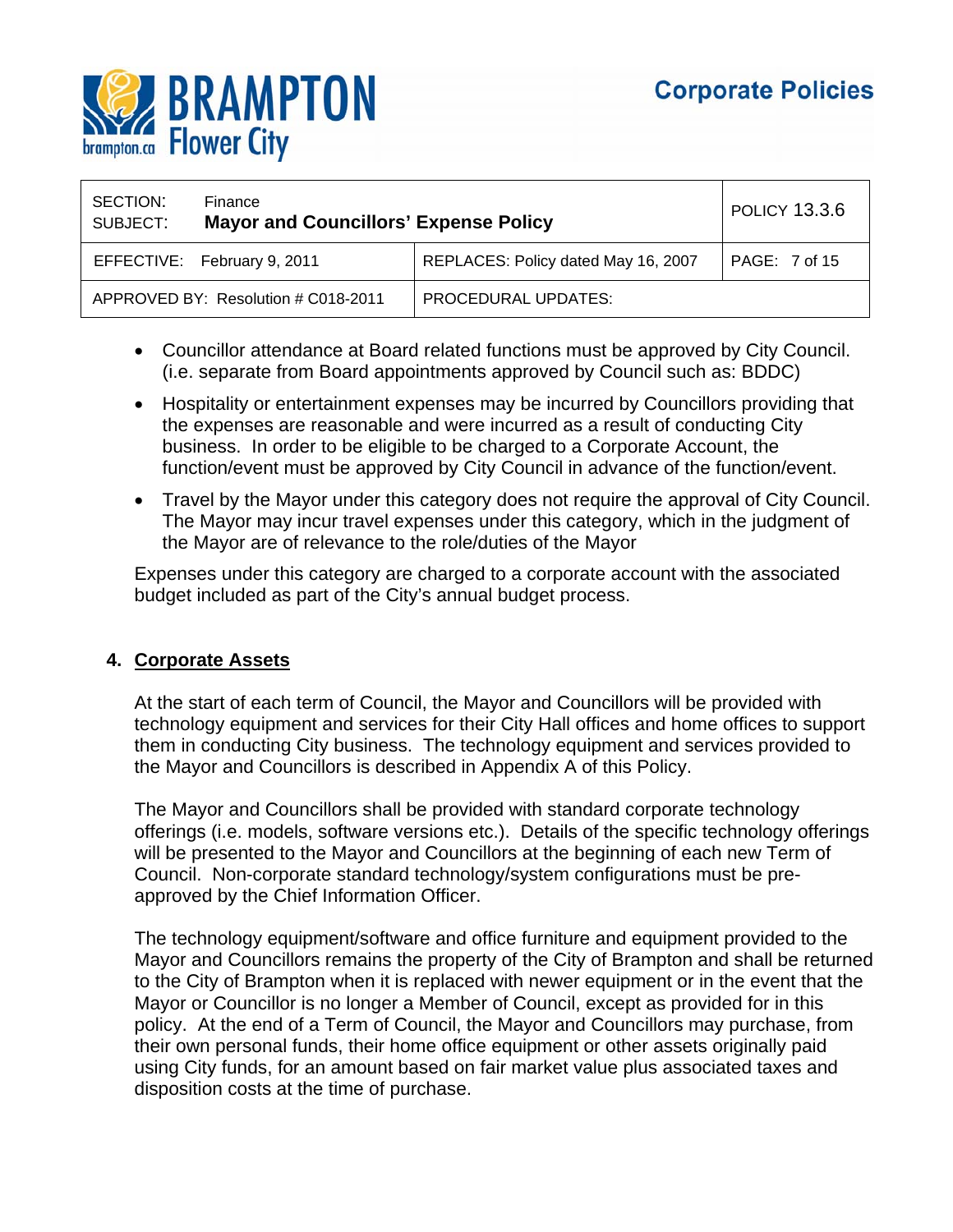

| SECTION:<br>SUBJECT: | Finance<br><b>Mayor and Councillors' Expense Policy</b> |                                     | <b>POLICY 13.3.6</b>     |
|----------------------|---------------------------------------------------------|-------------------------------------|--------------------------|
|                      | EFFECTIVE: February 9, 2011                             | REPLACES: Policy dated May 16, 2007 | PAGE: $7 \text{ of } 15$ |
|                      | APPROVED BY: Resolution # C018-2011                     | <b>PROCEDURAL UPDATES:</b>          |                          |

- Councillor attendance at Board related functions must be approved by City Council. (i.e. separate from Board appointments approved by Council such as: BDDC)
- Hospitality or entertainment expenses may be incurred by Councillors providing that the expenses are reasonable and were incurred as a result of conducting City business. In order to be eligible to be charged to a Corporate Account, the function/event must be approved by City Council in advance of the function/event.
- Travel by the Mayor under this category does not require the approval of City Council. The Mayor may incur travel expenses under this category, which in the judgment of the Mayor are of relevance to the role/duties of the Mayor

Expenses under this category are charged to a corporate account with the associated budget included as part of the City's annual budget process.

## **4. Corporate Assets**

At the start of each term of Council, the Mayor and Councillors will be provided with technology equipment and services for their City Hall offices and home offices to support them in conducting City business. The technology equipment and services provided to the Mayor and Councillors is described in Appendix A of this Policy.

The Mayor and Councillors shall be provided with standard corporate technology offerings (i.e. models, software versions etc.). Details of the specific technology offerings will be presented to the Mayor and Councillors at the beginning of each new Term of Council. Non-corporate standard technology/system configurations must be preapproved by the Chief Information Officer.

The technology equipment/software and office furniture and equipment provided to the Mayor and Councillors remains the property of the City of Brampton and shall be returned to the City of Brampton when it is replaced with newer equipment or in the event that the Mayor or Councillor is no longer a Member of Council, except as provided for in this policy. At the end of a Term of Council, the Mayor and Councillors may purchase, from their own personal funds, their home office equipment or other assets originally paid using City funds, for an amount based on fair market value plus associated taxes and disposition costs at the time of purchase.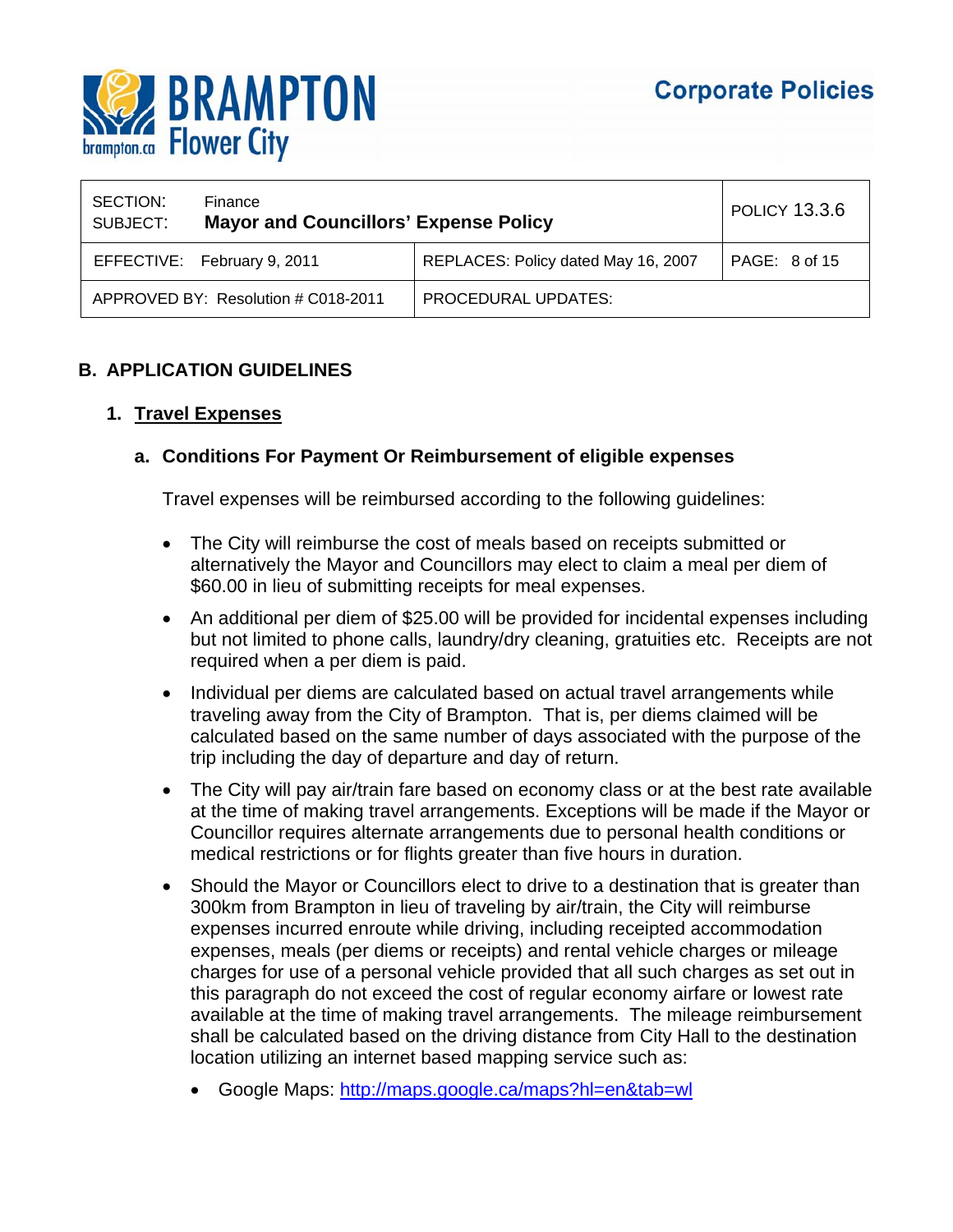

| SECTION:<br>SUBJECT: | Finance<br><b>Mayor and Councillors' Expense Policy</b> |                                     | <b>POLICY 13.3.6</b> |
|----------------------|---------------------------------------------------------|-------------------------------------|----------------------|
|                      | EFFECTIVE: February 9, 2011                             | REPLACES: Policy dated May 16, 2007 | PAGE: 8 of 15        |
|                      | APPROVED BY: Resolution # C018-2011                     | <b>PROCEDURAL UPDATES:</b>          |                      |

## **B. APPLICATION GUIDELINES**

## **1. Travel Expenses**

## **a. Conditions For Payment Or Reimbursement of eligible expenses**

Travel expenses will be reimbursed according to the following guidelines:

- The City will reimburse the cost of meals based on receipts submitted or alternatively the Mayor and Councillors may elect to claim a meal per diem of \$60.00 in lieu of submitting receipts for meal expenses.
- An additional per diem of \$25.00 will be provided for incidental expenses including but not limited to phone calls, laundry/dry cleaning, gratuities etc. Receipts are not required when a per diem is paid.
- Individual per diems are calculated based on actual travel arrangements while traveling away from the City of Brampton. That is, per diems claimed will be calculated based on the same number of days associated with the purpose of the trip including the day of departure and day of return.
- The City will pay air/train fare based on economy class or at the best rate available at the time of making travel arrangements. Exceptions will be made if the Mayor or Councillor requires alternate arrangements due to personal health conditions or medical restrictions or for flights greater than five hours in duration.
- Should the Mayor or Councillors elect to drive to a destination that is greater than 300km from Brampton in lieu of traveling by air/train, the City will reimburse expenses incurred enroute while driving, including receipted accommodation expenses, meals (per diems or receipts) and rental vehicle charges or mileage charges for use of a personal vehicle provided that all such charges as set out in this paragraph do not exceed the cost of regular economy airfare or lowest rate available at the time of making travel arrangements. The mileage reimbursement shall be calculated based on the driving distance from City Hall to the destination location utilizing an internet based mapping service such as:
	- Google Maps: http://maps.google.ca/maps?hl=en&tab=wl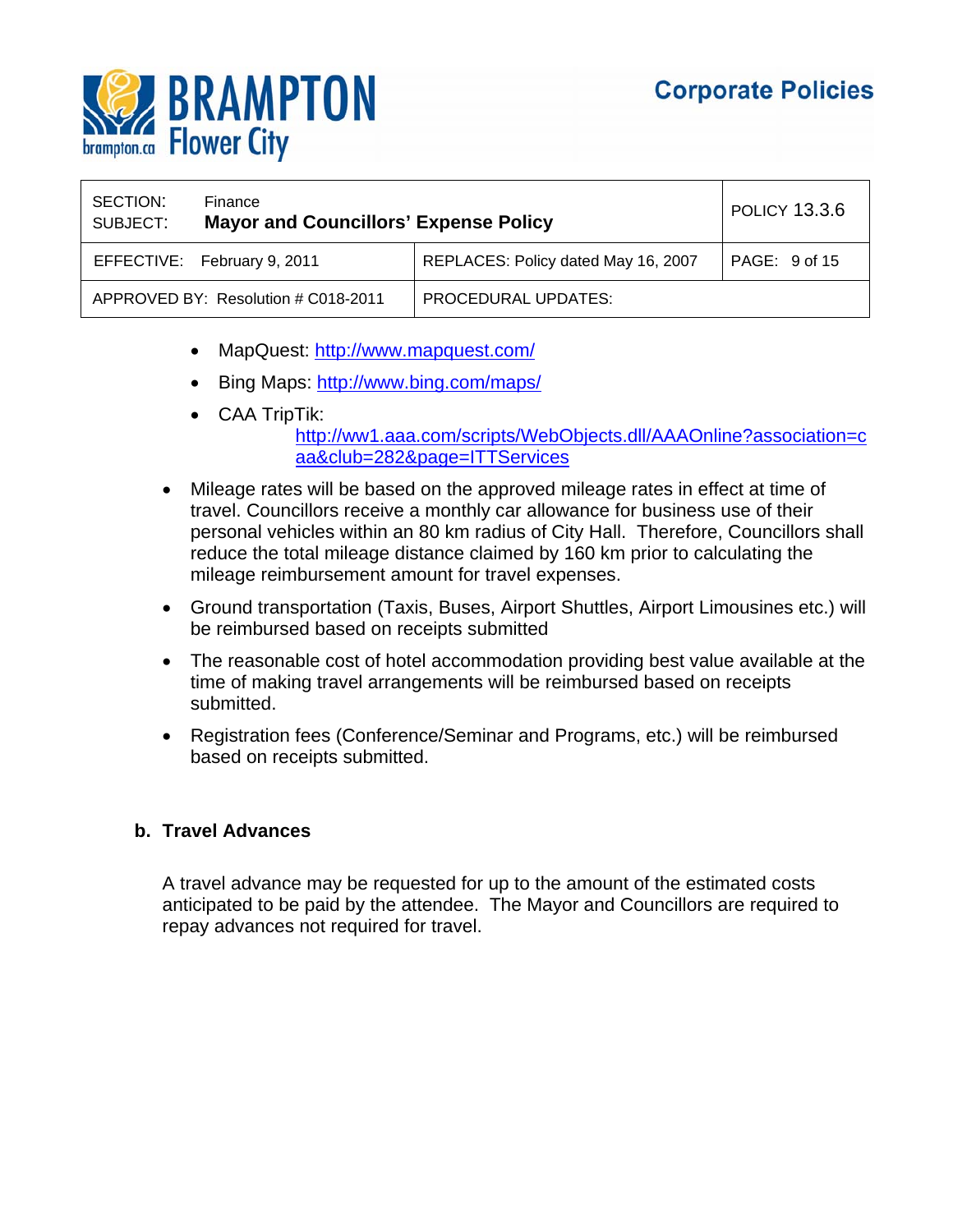

| SECTION:<br>SUBJECT: | Finance<br><b>Mayor and Councillors' Expense Policy</b> |                                     | POLICY 13.3.6 |
|----------------------|---------------------------------------------------------|-------------------------------------|---------------|
|                      | EFFECTIVE: February 9, 2011                             | REPLACES: Policy dated May 16, 2007 | PAGE: 9 of 15 |
|                      | APPROVED BY: Resolution # C018-2011                     | PROCEDURAL UPDATES:                 |               |

- MapQuest: http://www.mapquest.com/
- Bing Maps: http://www.bing.com/maps/
- CAA TripTik:

### http://ww1.aaa.com/scripts/WebObjects.dll/AAAOnline?association=c aa&club=282&page=ITTServices

- Mileage rates will be based on the approved mileage rates in effect at time of travel. Councillors receive a monthly car allowance for business use of their personal vehicles within an 80 km radius of City Hall. Therefore, Councillors shall reduce the total mileage distance claimed by 160 km prior to calculating the mileage reimbursement amount for travel expenses.
- Ground transportation (Taxis, Buses, Airport Shuttles, Airport Limousines etc.) will be reimbursed based on receipts submitted
- The reasonable cost of hotel accommodation providing best value available at the time of making travel arrangements will be reimbursed based on receipts submitted.
- Registration fees (Conference/Seminar and Programs, etc.) will be reimbursed based on receipts submitted.

#### **b. Travel Advances**

A travel advance may be requested for up to the amount of the estimated costs anticipated to be paid by the attendee. The Mayor and Councillors are required to repay advances not required for travel.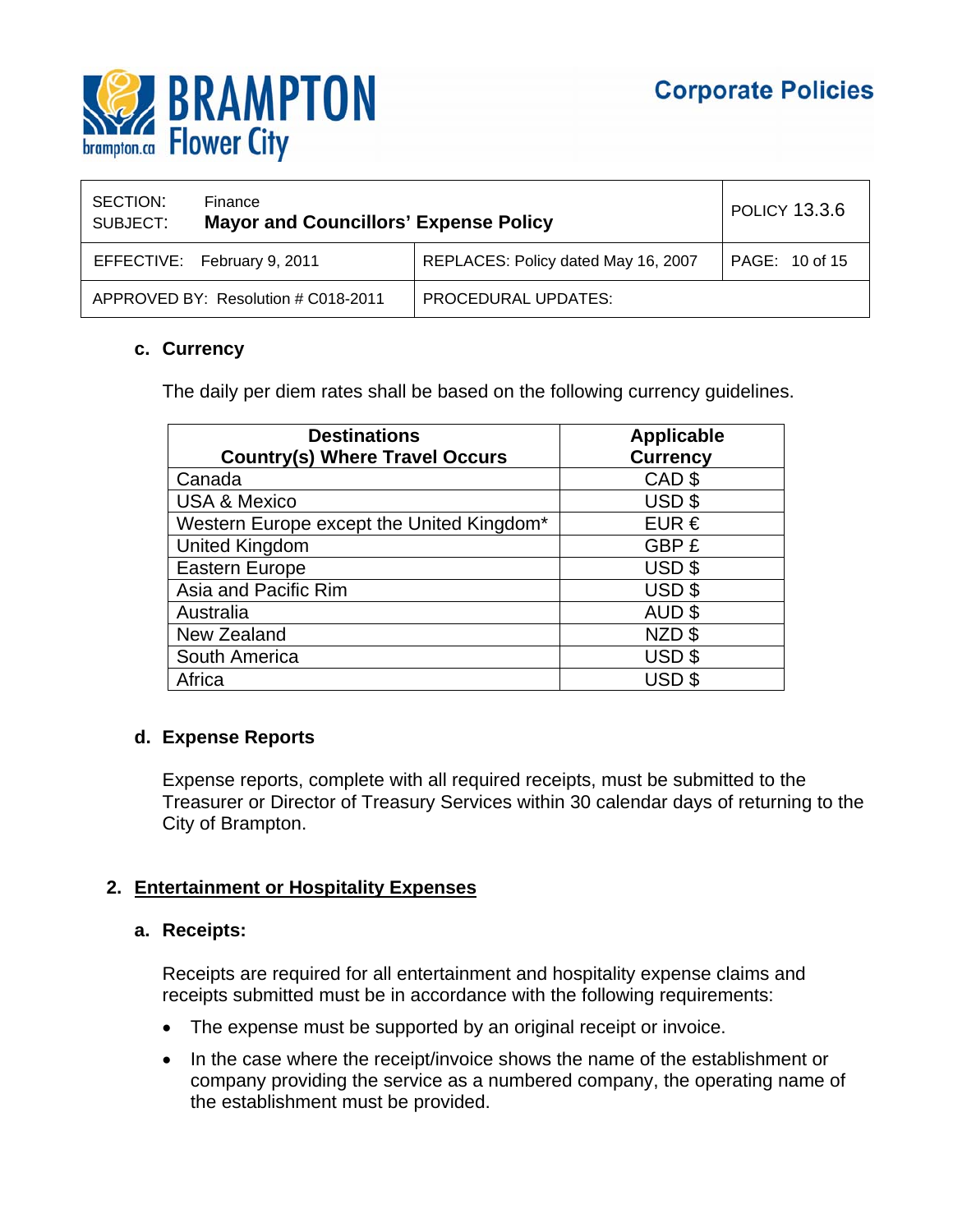

| SECTION:<br>SUBJECT: | Finance<br><b>Mayor and Councillors' Expense Policy</b> |                                     | <b>POLICY 13.3.6</b> |
|----------------------|---------------------------------------------------------|-------------------------------------|----------------------|
|                      | EFFECTIVE: February 9, 2011                             | REPLACES: Policy dated May 16, 2007 | PAGE: 10 of 15       |
|                      | APPROVED BY: Resolution # C018-2011                     | PROCEDURAL UPDATES:                 |                      |

## **c. Currency**

The daily per diem rates shall be based on the following currency guidelines.

| <b>Destinations</b>                       | <b>Applicable</b> |
|-------------------------------------------|-------------------|
| <b>Country(s) Where Travel Occurs</b>     | <b>Currency</b>   |
| Canada                                    | CAD <sub>\$</sub> |
| <b>USA &amp; Mexico</b>                   | USD <sub>\$</sub> |
| Western Europe except the United Kingdom* | EUR $\epsilon$    |
| <b>United Kingdom</b>                     | GBP £             |
| <b>Eastern Europe</b>                     | USD \$            |
| Asia and Pacific Rim                      | USD \$            |
| Australia                                 | AUD <sub>\$</sub> |
| New Zealand                               | NZD \$            |
| South America                             | USD <sub>\$</sub> |
| Africa                                    | USD <sub>\$</sub> |

## **d. Expense Reports**

Expense reports, complete with all required receipts, must be submitted to the Treasurer or Director of Treasury Services within 30 calendar days of returning to the City of Brampton.

#### **2. Entertainment or Hospitality Expenses**

#### **a. Receipts:**

Receipts are required for all entertainment and hospitality expense claims and receipts submitted must be in accordance with the following requirements:

- The expense must be supported by an original receipt or invoice.
- In the case where the receipt/invoice shows the name of the establishment or company providing the service as a numbered company, the operating name of the establishment must be provided.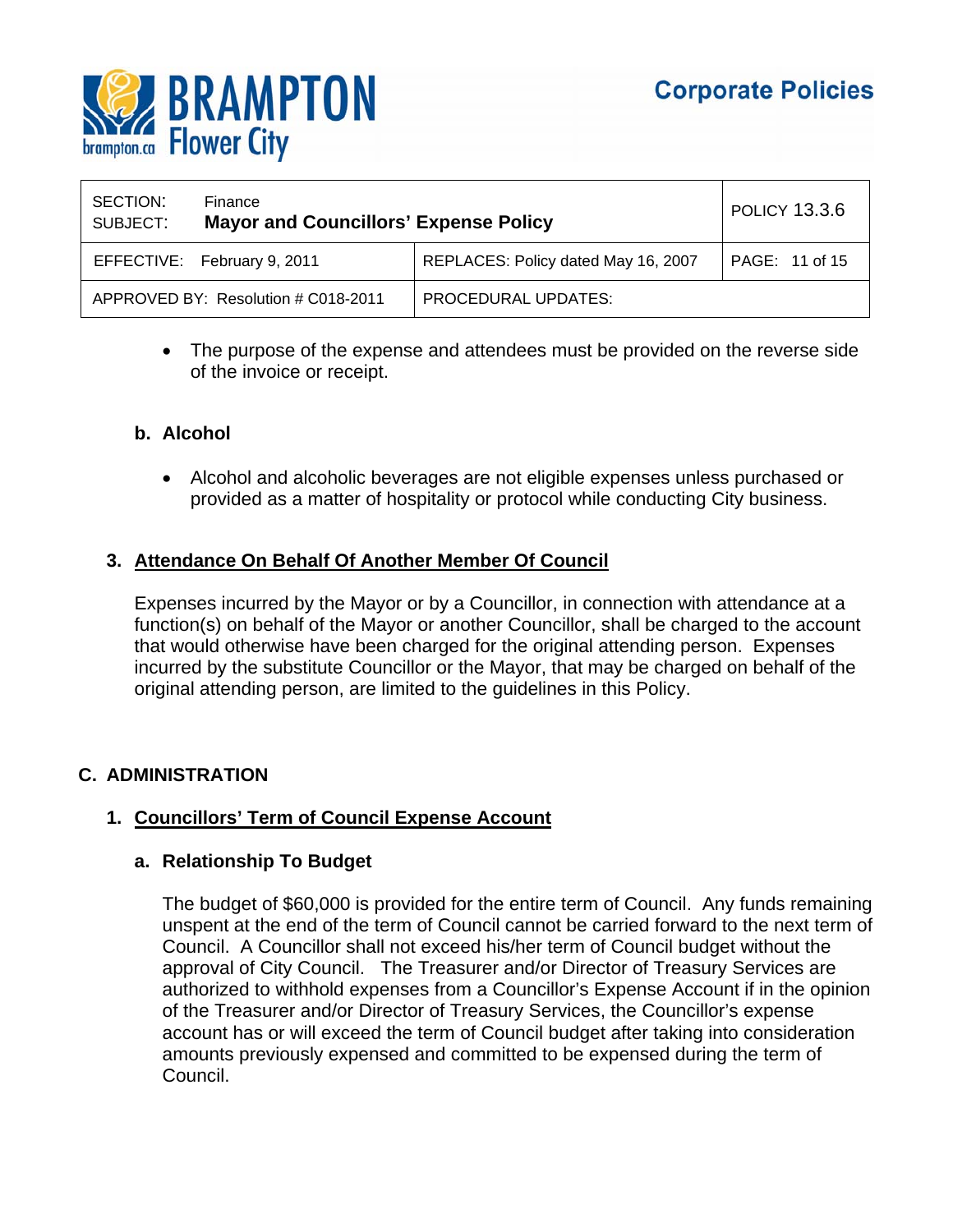

| SECTION:<br>SUBJECT: | Finance<br><b>Mayor and Councillors' Expense Policy</b> |                                     | <b>POLICY 13.3.6</b> |
|----------------------|---------------------------------------------------------|-------------------------------------|----------------------|
|                      | EFFECTIVE: February 9, 2011                             | REPLACES: Policy dated May 16, 2007 | PAGE: 11 of 15       |
|                      | APPROVED BY: Resolution # C018-2011                     | <b>PROCEDURAL UPDATES:</b>          |                      |

 The purpose of the expense and attendees must be provided on the reverse side of the invoice or receipt.

## **b. Alcohol**

 Alcohol and alcoholic beverages are not eligible expenses unless purchased or provided as a matter of hospitality or protocol while conducting City business.

## **3. Attendance On Behalf Of Another Member Of Council**

Expenses incurred by the Mayor or by a Councillor, in connection with attendance at a function(s) on behalf of the Mayor or another Councillor, shall be charged to the account that would otherwise have been charged for the original attending person. Expenses incurred by the substitute Councillor or the Mayor, that may be charged on behalf of the original attending person, are limited to the guidelines in this Policy.

## **C. ADMINISTRATION**

## **1. Councillors' Term of Council Expense Account**

## **a. Relationship To Budget**

The budget of \$60,000 is provided for the entire term of Council. Any funds remaining unspent at the end of the term of Council cannot be carried forward to the next term of Council. A Councillor shall not exceed his/her term of Council budget without the approval of City Council. The Treasurer and/or Director of Treasury Services are authorized to withhold expenses from a Councillor's Expense Account if in the opinion of the Treasurer and/or Director of Treasury Services, the Councillor's expense account has or will exceed the term of Council budget after taking into consideration amounts previously expensed and committed to be expensed during the term of Council.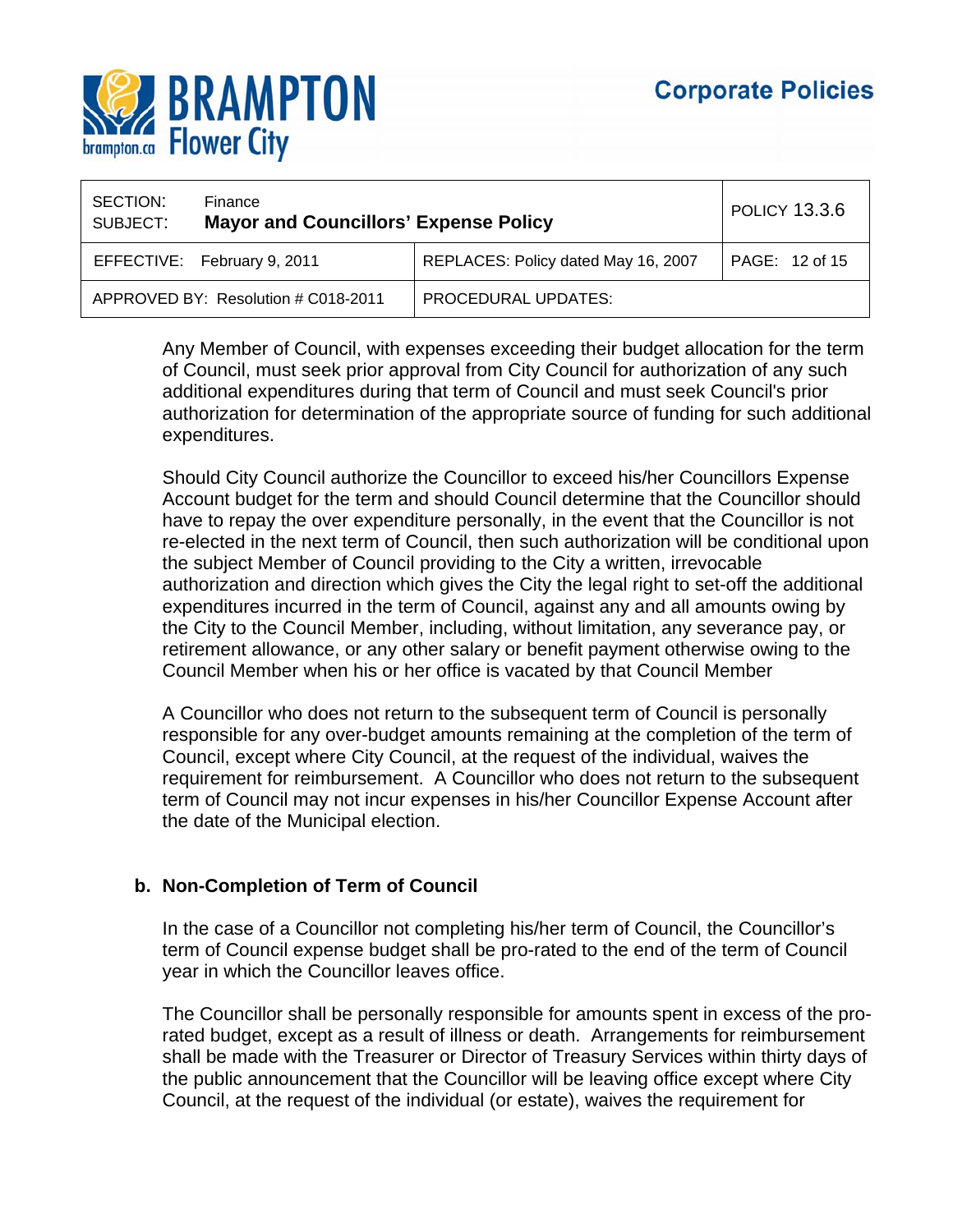

| SECTION:<br>SUBJECT: | Finance<br><b>Mayor and Councillors' Expense Policy</b> |                                     | <b>POLICY 13.3.6</b> |
|----------------------|---------------------------------------------------------|-------------------------------------|----------------------|
|                      | EFFECTIVE: February 9, 2011                             | REPLACES: Policy dated May 16, 2007 | PAGE: 12 of 15       |
|                      | APPROVED BY: Resolution # C018-2011                     | <b>PROCEDURAL UPDATES:</b>          |                      |

Any Member of Council, with expenses exceeding their budget allocation for the term of Council, must seek prior approval from City Council for authorization of any such additional expenditures during that term of Council and must seek Council's prior authorization for determination of the appropriate source of funding for such additional expenditures.

Should City Council authorize the Councillor to exceed his/her Councillors Expense Account budget for the term and should Council determine that the Councillor should have to repay the over expenditure personally, in the event that the Councillor is not re-elected in the next term of Council, then such authorization will be conditional upon the subject Member of Council providing to the City a written, irrevocable authorization and direction which gives the City the legal right to set-off the additional expenditures incurred in the term of Council, against any and all amounts owing by the City to the Council Member, including, without limitation, any severance pay, or retirement allowance, or any other salary or benefit payment otherwise owing to the Council Member when his or her office is vacated by that Council Member

A Councillor who does not return to the subsequent term of Council is personally responsible for any over-budget amounts remaining at the completion of the term of Council, except where City Council, at the request of the individual, waives the requirement for reimbursement. A Councillor who does not return to the subsequent term of Council may not incur expenses in his/her Councillor Expense Account after the date of the Municipal election.

## **b. Non-Completion of Term of Council**

In the case of a Councillor not completing his/her term of Council, the Councillor's term of Council expense budget shall be pro-rated to the end of the term of Council year in which the Councillor leaves office.

The Councillor shall be personally responsible for amounts spent in excess of the prorated budget, except as a result of illness or death. Arrangements for reimbursement shall be made with the Treasurer or Director of Treasury Services within thirty days of the public announcement that the Councillor will be leaving office except where City Council, at the request of the individual (or estate), waives the requirement for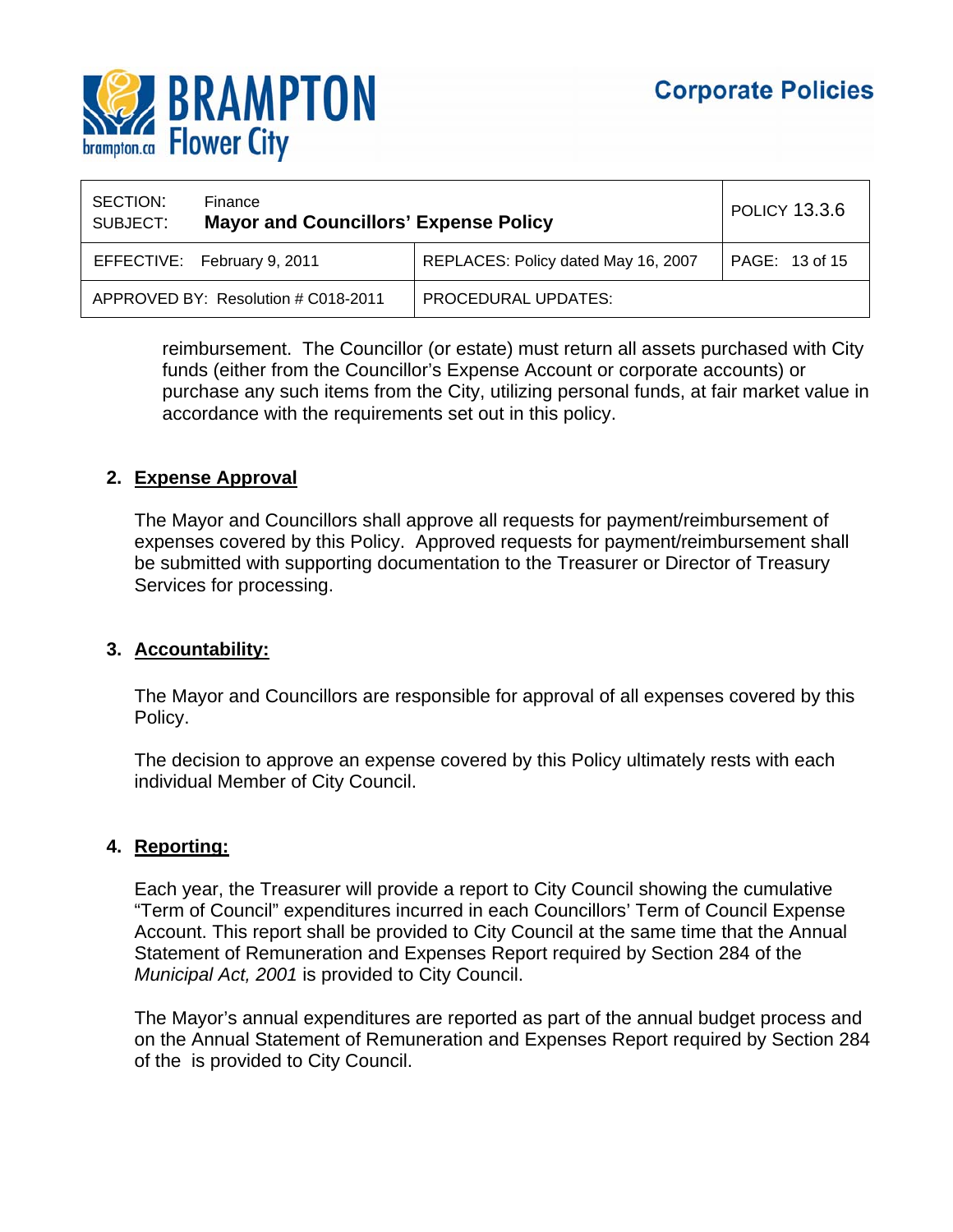

| SECTION:<br>SUBJECT: | Finance<br><b>Mayor and Councillors' Expense Policy</b> |                                     | <b>POLICY 13.3.6</b> |
|----------------------|---------------------------------------------------------|-------------------------------------|----------------------|
|                      | EFFECTIVE: February 9, 2011                             | REPLACES: Policy dated May 16, 2007 | PAGE: 13 of 15       |
|                      | APPROVED BY: Resolution # C018-2011                     | <b>PROCEDURAL UPDATES:</b>          |                      |

reimbursement. The Councillor (or estate) must return all assets purchased with City funds (either from the Councillor's Expense Account or corporate accounts) or purchase any such items from the City, utilizing personal funds, at fair market value in accordance with the requirements set out in this policy.

## **2. Expense Approval**

The Mayor and Councillors shall approve all requests for payment/reimbursement of expenses covered by this Policy. Approved requests for payment/reimbursement shall be submitted with supporting documentation to the Treasurer or Director of Treasury Services for processing.

## **3. Accountability:**

The Mayor and Councillors are responsible for approval of all expenses covered by this Policy.

The decision to approve an expense covered by this Policy ultimately rests with each individual Member of City Council.

## **4. Reporting:**

Each year, the Treasurer will provide a report to City Council showing the cumulative "Term of Council" expenditures incurred in each Councillors' Term of Council Expense Account. This report shall be provided to City Council at the same time that the Annual Statement of Remuneration and Expenses Report required by Section 284 of the *Municipal Act, 2001* is provided to City Council.

The Mayor's annual expenditures are reported as part of the annual budget process and on the Annual Statement of Remuneration and Expenses Report required by Section 284 of the is provided to City Council.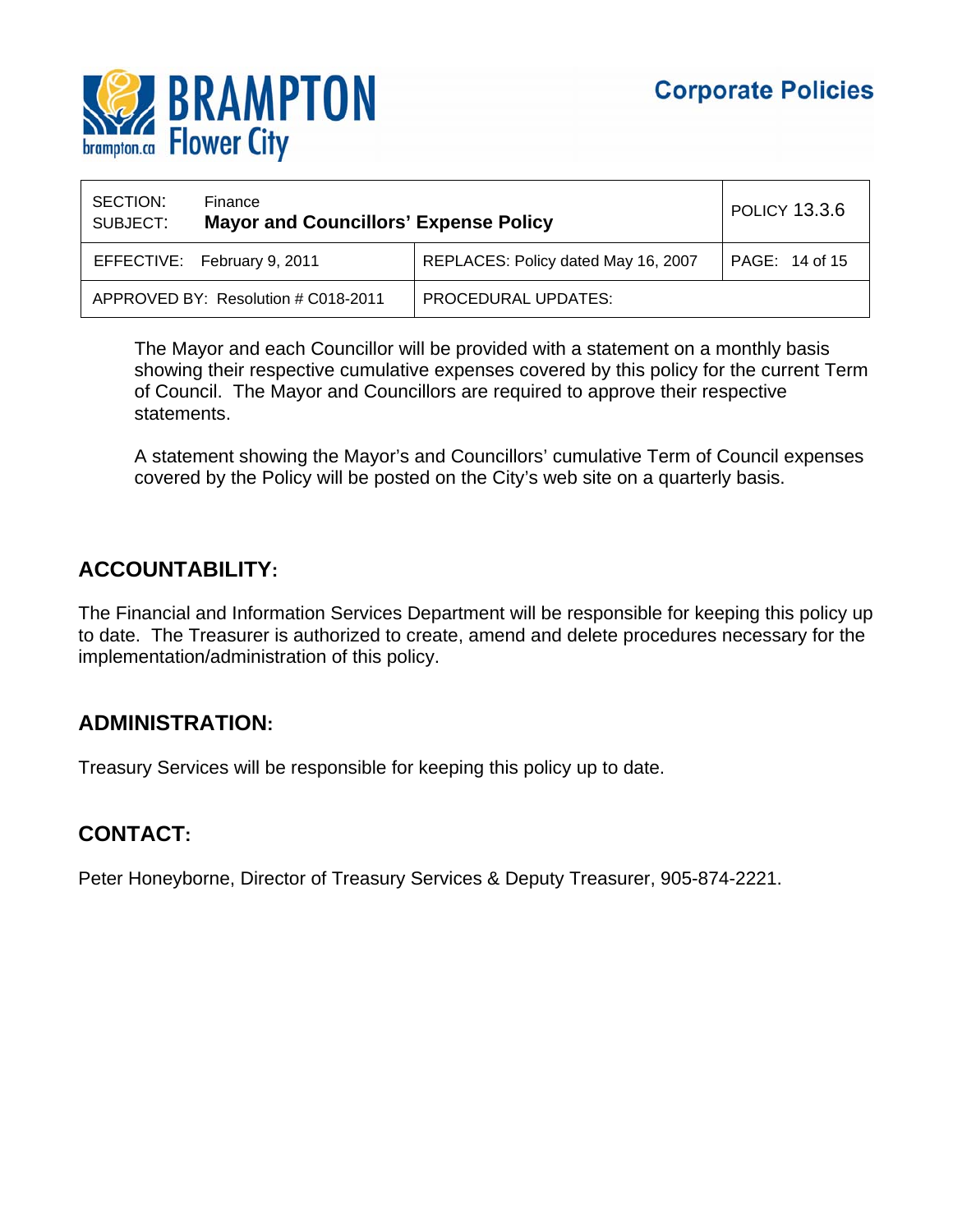

| SECTION:<br>SUBJECT:                | Finance<br><b>Mayor and Councillors' Expense Policy</b> |                                     | <b>POLICY 13.3.6</b> |
|-------------------------------------|---------------------------------------------------------|-------------------------------------|----------------------|
|                                     | EFFECTIVE: February 9, 2011                             | REPLACES: Policy dated May 16, 2007 | PAGE: 14 of 15       |
| APPROVED BY: Resolution # C018-2011 |                                                         | PROCEDURAL UPDATES:                 |                      |

The Mayor and each Councillor will be provided with a statement on a monthly basis showing their respective cumulative expenses covered by this policy for the current Term of Council. The Mayor and Councillors are required to approve their respective statements.

A statement showing the Mayor's and Councillors' cumulative Term of Council expenses covered by the Policy will be posted on the City's web site on a quarterly basis.

## **ACCOUNTABILITY:**

The Financial and Information Services Department will be responsible for keeping this policy up to date. The Treasurer is authorized to create, amend and delete procedures necessary for the implementation/administration of this policy.

## **ADMINISTRATION:**

Treasury Services will be responsible for keeping this policy up to date.

# **CONTACT:**

Peter Honeyborne, Director of Treasury Services & Deputy Treasurer, 905-874-2221.